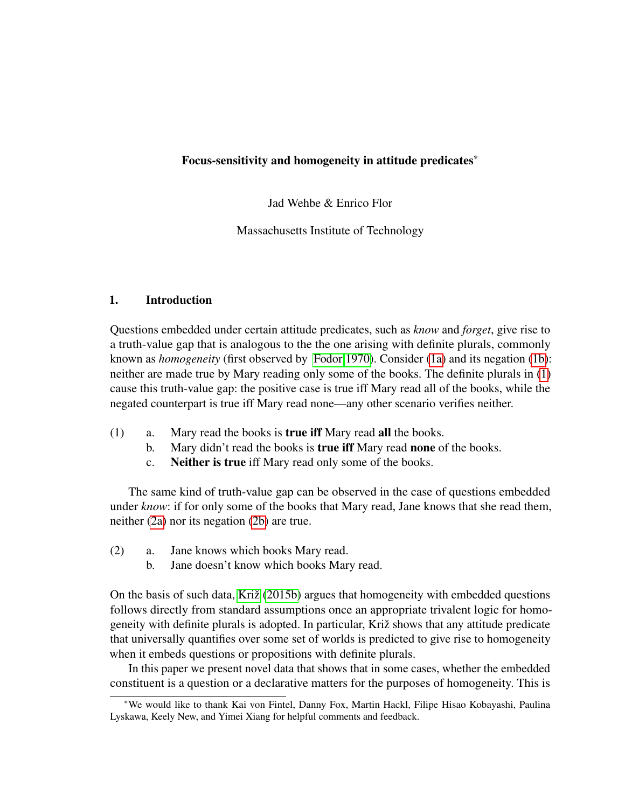## Focus-sensitivity and homogeneity in attitude predicates\*

Jad Wehbe & Enrico Flor

Massachusetts Institute of Technology

## 1. Introduction

Questions embedded under certain attitude predicates, such as *know* and *forget*, give rise to a truth-value gap that is analogous to the the one arising with definite plurals, commonly known as *homogeneity* (first observed by [Fodor 1970\)](#page-9-0). Consider [\(1a\)](#page-0-0) and its negation [\(1b\)](#page-0-1): neither are made true by Mary reading only some of the books. The definite plurals in [\(1\)](#page-0-2) cause this truth-value gap: the positive case is true iff Mary read all of the books, while the negated counterpart is true iff Mary read none—any other scenario verifies neither.

- <span id="page-0-2"></span><span id="page-0-1"></span><span id="page-0-0"></span>(1) a. Mary read the books is true iff Mary read all the books.
	- b. Mary didn't read the books is true iff Mary read none of the books.
	- c. Neither is true iff Mary read only some of the books.

The same kind of truth-value gap can be observed in the case of questions embedded under *know*: if for only some of the books that Mary read, Jane knows that she read them, neither [\(2a\)](#page-0-3) nor its negation [\(2b\)](#page-0-4) are true.

- <span id="page-0-4"></span><span id="page-0-3"></span>(2) a. Jane knows which books Mary read.
	- b. Jane doesn't know which books Mary read.

On the basis of such data, Križ  $(2015b)$  argues that homogeneity with embedded questions follows directly from standard assumptions once an appropriate trivalent logic for homogeneity with definite plurals is adopted. In particular, Križ shows that any attitude predicate that universally quantifies over some set of worlds is predicted to give rise to homogeneity when it embeds questions or propositions with definite plurals.

In this paper we present novel data that shows that in some cases, whether the embedded constituent is a question or a declarative matters for the purposes of homogeneity. This is

<sup>\*</sup>We would like to thank Kai von Fintel, Danny Fox, Martin Hackl, Filipe Hisao Kobayashi, Paulina Lyskawa, Keely New, and Yimei Xiang for helpful comments and feedback.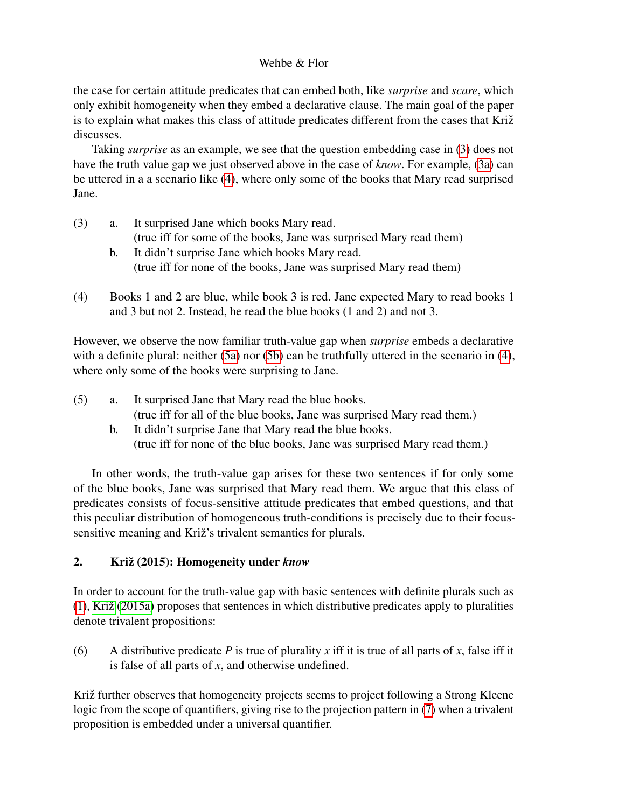the case for certain attitude predicates that can embed both, like *surprise* and *scare*, which only exhibit homogeneity when they embed a declarative clause. The main goal of the paper is to explain what makes this class of attitude predicates different from the cases that Križ discusses.

Taking *surprise* as an example, we see that the question embedding case in [\(3\)](#page-1-0) does not have the truth value gap we just observed above in the case of *know*. For example, [\(3a\)](#page-1-1) can be uttered in a a scenario like [\(4\)](#page-1-2), where only some of the books that Mary read surprised Jane.

- <span id="page-1-1"></span><span id="page-1-0"></span>(3) a. It surprised Jane which books Mary read. (true iff for some of the books, Jane was surprised Mary read them) b. It didn't surprise Jane which books Mary read.
	- (true iff for none of the books, Jane was surprised Mary read them)
- <span id="page-1-2"></span>(4) Books 1 and 2 are blue, while book 3 is red. Jane expected Mary to read books 1 and 3 but not 2. Instead, he read the blue books (1 and 2) and not 3.

However, we observe the now familiar truth-value gap when *surprise* embeds a declarative with a definite plural: neither [\(5a\)](#page-1-3) nor [\(5b\)](#page-1-4) can be truthfully uttered in the scenario in [\(4\)](#page-1-2), where only some of the books were surprising to Jane.

- <span id="page-1-4"></span><span id="page-1-3"></span>(5) a. It surprised Jane that Mary read the blue books. (true iff for all of the blue books, Jane was surprised Mary read them.)
	- b. It didn't surprise Jane that Mary read the blue books. (true iff for none of the blue books, Jane was surprised Mary read them.)

In other words, the truth-value gap arises for these two sentences if for only some of the blue books, Jane was surprised that Mary read them. We argue that this class of predicates consists of focus-sensitive attitude predicates that embed questions, and that this peculiar distribution of homogeneous truth-conditions is precisely due to their focussensitive meaning and Križ's trivalent semantics for plurals.

# 2. Križ (2015): Homogeneity under *know*

In order to account for the truth-value gap with basic sentences with definite plurals such as  $(1)$ , Križ  $(2015a)$  proposes that sentences in which distributive predicates apply to pluralities denote trivalent propositions:

(6) A distributive predicate *P* is true of plurality *x* iff it is true of all parts of *x*, false iff it is false of all parts of *x*, and otherwise undefined.

<span id="page-1-5"></span>Križ further observes that homogeneity projects seems to project following a Strong Kleene logic from the scope of quantifiers, giving rise to the projection pattern in [\(7\)](#page-1-5) when a trivalent proposition is embedded under a universal quantifier.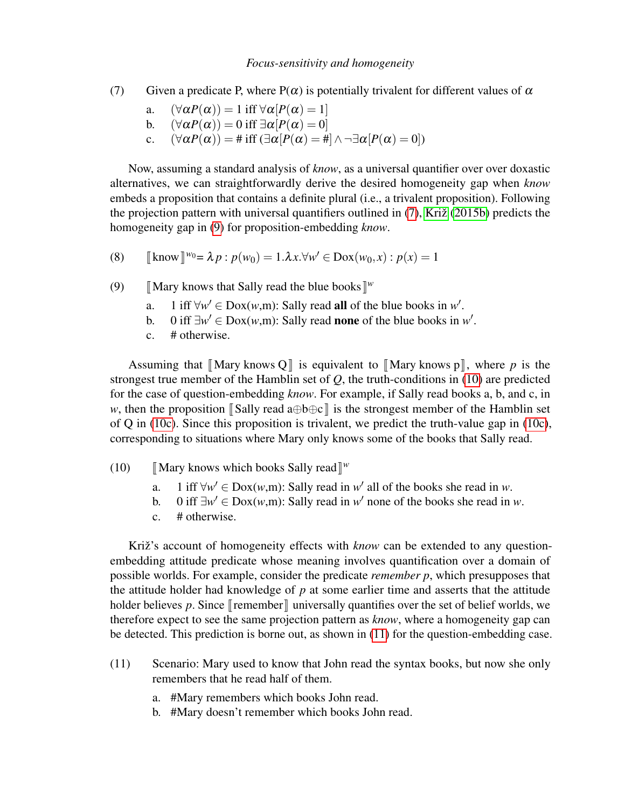- (7) Given a predicate P, where  $P(\alpha)$  is potentially trivalent for different values of  $\alpha$ 
	- a.  $(\forall \alpha P(\alpha)) = 1$  iff  $\forall \alpha [P(\alpha) = 1]$
	- b.  $(\forall \alpha P(\alpha)) = 0$  iff  $\exists \alpha [P(\alpha) = 0]$
	- c.  $(\forall \alpha P(\alpha)) = \#\text{ iff } (\exists \alpha [P(\alpha) = \#\land \neg \exists \alpha [P(\alpha) = 0])$

Now, assuming a standard analysis of *know*, as a universal quantifier over over doxastic alternatives, we can straightforwardly derive the desired homogeneity gap when *know* embeds a proposition that contains a definite plural (i.e., a trivalent proposition). Following the projection pattern with universal quantifiers outlined in  $(7)$ , Križ  $(2015b)$  predicts the homogeneity gap in [\(9\)](#page-2-0) for proposition-embedding *know*.

(8) 
$$
\llbracket \text{know} \rrbracket^{w_0} = \lambda p : p(w_0) = 1.\lambda x. \forall w' \in \text{Dox}(w_0, x) : p(x) = 1
$$

- <span id="page-2-0"></span>(9) [Mary knows that Sally read the blue books  $\mathbb{I}^w$ 
	- a. 1 iff  $\forall w' \in \text{Dox}(w,m)$ : Sally read all of the blue books in w'.
	- b. 0 iff  $\exists w' \in \text{Dox}(w,m)$ : Sally read **none** of the blue books in w'.
	- c. # otherwise.

Assuming that  $\llbracket \text{Mary knows } Q \rrbracket$  is equivalent to  $\llbracket \text{Mary knows } p \rrbracket$ , where *p* is the strongest true member of the Hamblin set of *Q*, the truth-conditions in [\(10\)](#page-2-1) are predicted for the case of question-embedding *know*. For example, if Sally read books a, b, and c, in *w*, then the proposition  $\llbracket$ Sally read a⊕b⊕c  $\rrbracket$  is the strongest member of the Hamblin set of Q in [\(10c\)](#page-2-2). Since this proposition is trivalent, we predict the truth-value gap in (10c), corresponding to situations where Mary only knows some of the books that Sally read.

- <span id="page-2-1"></span>(10) **IMary knows which books Sally read**  $\mathbb{I}^w$ 
	- a. 1 iff  $\forall w' \in \text{Dox}(w,m)$ : Sally read in *w'* all of the books she read in *w*.
	- b. 0 iff  $\exists w' \in \text{Dox}(w,m)$ : Sally read in *w'* none of the books she read in *w*.
	- c. # otherwise.

<span id="page-2-2"></span>Križ's account of homogeneity effects with *know* can be extended to any questionembedding attitude predicate whose meaning involves quantification over a domain of possible worlds. For example, consider the predicate *remember p*, which presupposes that the attitude holder had knowledge of *p* at some earlier time and asserts that the attitude holder believes p. Since  $\lceil$  remember  $\rceil$  universally quantifies over the set of belief worlds, we therefore expect to see the same projection pattern as *know*, where a homogeneity gap can be detected. This prediction is borne out, as shown in [\(11\)](#page-2-3) for the question-embedding case.

- <span id="page-2-3"></span>(11) Scenario: Mary used to know that John read the syntax books, but now she only remembers that he read half of them.
	- a. #Mary remembers which books John read.
	- b. #Mary doesn't remember which books John read.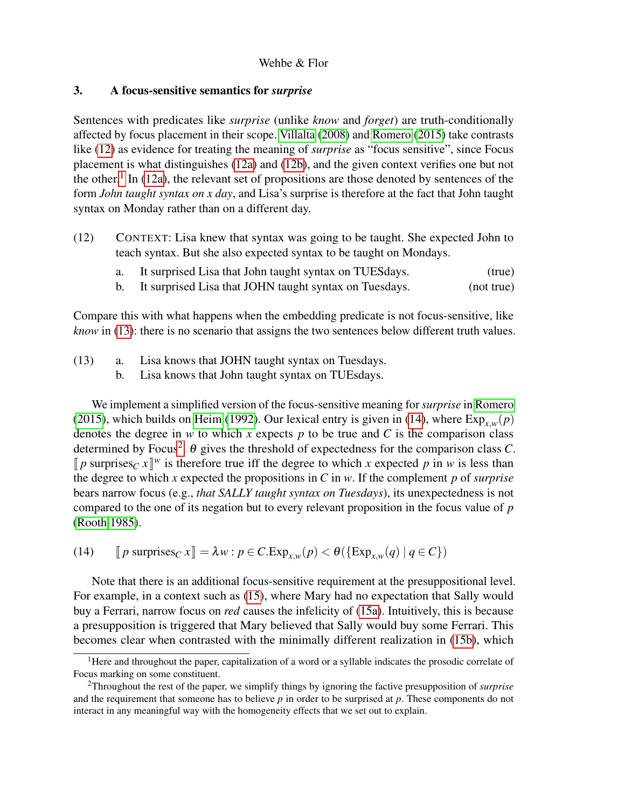## 3. A focus-sensitive semantics for *surprise*

Sentences with predicates like *surprise* (unlike *know* and *forget*) are truth-conditionally affected by focus placement in their scope. [Villalta](#page-9-3) [\(2008\)](#page-9-3) and [Romero](#page-9-4) [\(2015\)](#page-9-4) take contrasts like [\(12\)](#page-3-0) as evidence for treating the meaning of *surprise* as "focus sensitive", since Focus placement is what distinguishes [\(12a\)](#page-3-1) and [\(12b\)](#page-3-2), and the given context verifies one but not the other.<sup>[1](#page-3-3)</sup> In [\(12a\)](#page-3-1), the relevant set of propositions are those denoted by sentences of the form *John taught syntax on x day*, and Lisa's surprise is therefore at the fact that John taught syntax on Monday rather than on a different day.

- <span id="page-3-1"></span><span id="page-3-0"></span>(12) CONTEXT: Lisa knew that syntax was going to be taught. She expected John to teach syntax. But she also expected syntax to be taught on Mondays.
	- a. It surprised Lisa that John taught syntax on TUESdays. (true)
	- b. It surprised Lisa that JOHN taught syntax on Tuesdays. (not true)

<span id="page-3-2"></span>Compare this with what happens when the embedding predicate is not focus-sensitive, like *know* in [\(13\)](#page-3-4): there is no scenario that assigns the two sentences below different truth values.

- <span id="page-3-4"></span>(13) a. Lisa knows that JOHN taught syntax on Tuesdays.
	- b. Lisa knows that John taught syntax on TUEsdays.

We implement a simplified version of the focus-sensitive meaning for *surprise* in [Romero](#page-9-4) [\(2015\)](#page-9-4), which builds on [Heim](#page-9-5) [\(1992\)](#page-9-5). Our lexical entry is given in [\(14\)](#page-3-5), where  $Exp_{x,w}(p)$ denotes the degree in  $w$  to which  $x$  expects  $p$  to be true and  $C$  is the comparison class determined by Focus<sup>[2](#page-3-6)</sup>.  $\theta$  gives the threshold of expectedness for the comparison class *C*.  $[p$  surprises<sub>*C*</sub> *x*  $]^{w}$  is therefore true iff the degree to which *x* expected *p* in *w* is less than the degree to which *x* expected the propositions in *G* in *w*. If the complement *n* of surprise the degree to which *x* expected the propositions in *C* in *w*. If the complement *p* of *surprise* bears narrow focus (e.g., *that SALLY taught syntax on Tuesdays*), its unexpectedness is not compared to the one of its negation but to every relevant proposition in the focus value of *p* [\(Rooth 1985\)](#page-9-6).

<span id="page-3-5"></span>(14)  $[p \text{ surprises}_C x] = \lambda w : p \in C \cdot \text{Exp}_{x,w}(p) < \theta(\{\text{Exp}_{x,w}(q) \mid q \in C\})$ 

Note that there is an additional focus-sensitive requirement at the presuppositional level. For example, in a context such as [\(15\)](#page-4-0), where Mary had no expectation that Sally would buy a Ferrari, narrow focus on *red* causes the infelicity of [\(15a\)](#page-4-1). Intuitively, this is because a presupposition is triggered that Mary believed that Sally would buy some Ferrari. This becomes clear when contrasted with the minimally different realization in [\(15b\)](#page-4-2), which

<span id="page-3-3"></span><sup>&</sup>lt;sup>1</sup>Here and throughout the paper, capitalization of a word or a syllable indicates the prosodic correlate of Focus marking on some constituent.

<span id="page-3-6"></span><sup>2</sup>Throughout the rest of the paper, we simplify things by ignoring the factive presupposition of *surprise* and the requirement that someone has to believe *p* in order to be surprised at *p*. These components do not interact in any meaningful way with the homogeneity effects that we set out to explain.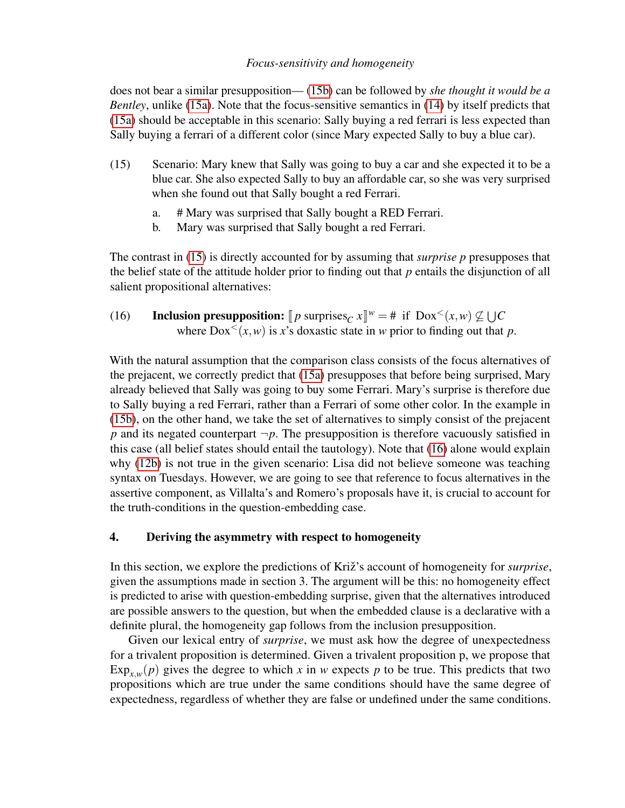does not bear a similar presupposition— [\(15b\)](#page-4-2) can be followed by *she thought it would be a Bentley*, unlike [\(15a\)](#page-4-1). Note that the focus-sensitive semantics in [\(14\)](#page-3-5) by itself predicts that [\(15a\)](#page-4-1) should be acceptable in this scenario: Sally buying a red ferrari is less expected than Sally buying a ferrari of a different color (since Mary expected Sally to buy a blue car).

- <span id="page-4-0"></span>(15) Scenario: Mary knew that Sally was going to buy a car and she expected it to be a blue car. She also expected Sally to buy an affordable car, so she was very surprised when she found out that Sally bought a red Ferrari.
	- a. # Mary was surprised that Sally bought a RED Ferrari.
	- b. Mary was surprised that Sally bought a red Ferrari.

<span id="page-4-2"></span><span id="page-4-1"></span>The contrast in [\(15\)](#page-4-0) is directly accounted for by assuming that *surprise p* presupposes that the belief state of the attitude holder prior to finding out that *p* entails the disjunction of all salient propositional alternatives:

<span id="page-4-3"></span>(16) **Inclusion presupposition:**  $[p \text{ surprises}_C x] \leq w = # \text{ if } \text{Dox}^<(x, w) \not\subseteq \bigcup C$ <br>where  $\text{Dox}^<(x, w)$  is x's devestic state in w prior to finding out that where  $Dox<sup>2</sup>(x, w)$  is x's doxastic state in *w* prior to finding out that *p*.

With the natural assumption that the comparison class consists of the focus alternatives of the prejacent, we correctly predict that [\(15a\)](#page-4-1) presupposes that before being surprised, Mary already believed that Sally was going to buy some Ferrari. Mary's surprise is therefore due to Sally buying a red Ferrari, rather than a Ferrari of some other color. In the example in [\(15b\)](#page-4-2), on the other hand, we take the set of alternatives to simply consist of the prejacent *p* and its negated counterpart  $\neg p$ . The presupposition is therefore vacuously satisfied in this case (all belief states should entail the tautology). Note that [\(16\)](#page-4-3) alone would explain why [\(12b\)](#page-3-2) is not true in the given scenario: Lisa did not believe someone was teaching syntax on Tuesdays. However, we are going to see that reference to focus alternatives in the assertive component, as Villalta's and Romero's proposals have it, is crucial to account for the truth-conditions in the question-embedding case.

## 4. Deriving the asymmetry with respect to homogeneity

In this section, we explore the predictions of Križ's account of homogeneity for *surprise*, given the assumptions made in section 3. The argument will be this: no homogeneity effect is predicted to arise with question-embedding surprise, given that the alternatives introduced are possible answers to the question, but when the embedded clause is a declarative with a definite plural, the homogeneity gap follows from the inclusion presupposition.

Given our lexical entry of *surprise*, we must ask how the degree of unexpectedness for a trivalent proposition is determined. Given a trivalent proposition p, we propose that  $Exp_{x,w}(p)$  gives the degree to which *x* in *w* expects *p* to be true. This predicts that two propositions which are true under the same conditions should have the same degree of expectedness, regardless of whether they are false or undefined under the same conditions.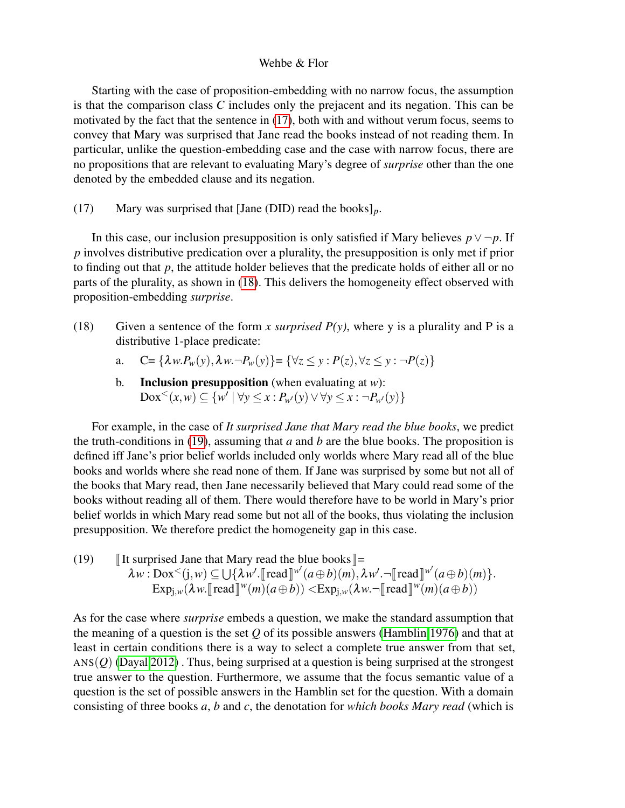Starting with the case of proposition-embedding with no narrow focus, the assumption is that the comparison class *C* includes only the prejacent and its negation. This can be motivated by the fact that the sentence in [\(17\)](#page-5-0), both with and without verum focus, seems to convey that Mary was surprised that Jane read the books instead of not reading them. In particular, unlike the question-embedding case and the case with narrow focus, there are no propositions that are relevant to evaluating Mary's degree of *surprise* other than the one denoted by the embedded clause and its negation.

<span id="page-5-0"></span>(17) Mary was surprised that [Jane (DID) read the books]*p*.

In this case, our inclusion presupposition is only satisfied if Mary believes  $p \vee \neg p$ . If *p* involves distributive predication over a plurality, the presupposition is only met if prior to finding out that *p*, the attitude holder believes that the predicate holds of either all or no parts of the plurality, as shown in [\(18\)](#page-5-1). This delivers the homogeneity effect observed with proposition-embedding *surprise*.

- <span id="page-5-1"></span>(18) Given a sentence of the form *x surprised P(y)*, where y is a plurality and P is a distributive 1-place predicate:
	- a.  $C = {\lambda w P_w(y), \lambda w. \neg P_w(y)} = {\forall z \le y : P(z), \forall z \le y : \neg P(z)}$
	- b. Inclusion presupposition (when evaluating at *w*):  $\text{Dox}^<(x,w) \subseteq \{w' \mid \forall y \leq x : P_{w'}(y) \lor \forall y \leq x : \neg P_{w'}(y)\}$

For example, in the case of *It surprised Jane that Mary read the blue books*, we predict the truth-conditions in [\(19\)](#page-5-2), assuming that *a* and *b* are the blue books. The proposition is defined iff Jane's prior belief worlds included only worlds where Mary read all of the blue books and worlds where she read none of them. If Jane was surprised by some but not all of the books that Mary read, then Jane necessarily believed that Mary could read some of the books without reading all of them. There would therefore have to be world in Mary's prior belief worlds in which Mary read some but not all of the books, thus violating the inclusion presupposition. We therefore predict the homogeneity gap in this case.

<span id="page-5-2"></span>(19)  $\parallel$  It surprised Jane that Mary read the blue books  $\parallel$  =  $\lambda w : \text{Box}^{\lt}(j, w) \subseteq \bigcup \{\lambda w'. \llbracket \text{read} \rrbracket^{w'} (a \oplus b)(m), \lambda w'. \neg \llbracket \text{read} \rrbracket^{w'} (a \oplus b)(m)\}.$  $\text{Exp}_{j,w}(\lambda w.\llbracket \text{read } \rrbracket^w(m)(a \oplus b)) < \text{Exp}_{j,w}(\lambda w.\lnot \llbracket \text{read } \rrbracket^w(m)(a \oplus b))$ 

As for the case where *surprise* embeds a question, we make the standard assumption that the meaning of a question is the set *Q* of its possible answers [\(Hamblin 1976\)](#page-9-7) and that at least in certain conditions there is a way to select a complete true answer from that set,  $ANS(*Q*)$  [\(Dayal 2012\)](#page-9-8). Thus, being surprised at a question is being surprised at the strongest true answer to the question. Furthermore, we assume that the focus semantic value of a question is the set of possible answers in the Hamblin set for the question. With a domain consisting of three books *a*, *b* and *c*, the denotation for *which books Mary read* (which is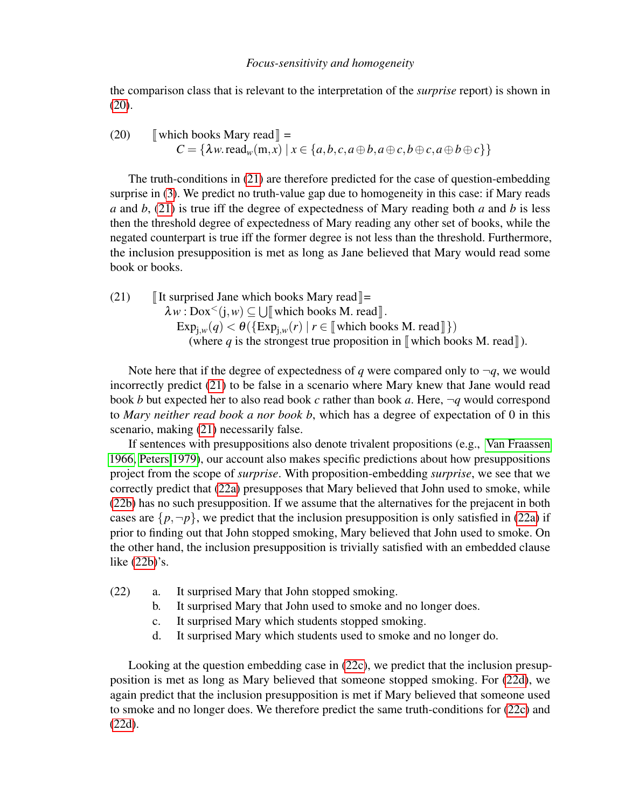the comparison class that is relevant to the interpretation of the *surprise* report) is shown in [\(20\)](#page-6-0).

<span id="page-6-0"></span>(20) [which books Mary read] =  

$$
C = {\lambda w.\text{read}_w(m, x) | x \in \{a, b, c, a \oplus b, a \oplus c, b \oplus c, a \oplus b \oplus c\}}
$$

The truth-conditions in [\(21\)](#page-6-1) are therefore predicted for the case of question-embedding surprise in [\(3\)](#page-1-0). We predict no truth-value gap due to homogeneity in this case: if Mary reads *a* and *b*, [\(21\)](#page-6-1) is true iff the degree of expectedness of Mary reading both *a* and *b* is less then the threshold degree of expectedness of Mary reading any other set of books, while the negated counterpart is true iff the former degree is not less than the threshold. Furthermore, the inclusion presupposition is met as long as Jane believed that Mary would read some book or books.

<span id="page-6-1"></span>(21) It surprised Jane which books Mary read  $\equiv$  $\lambda w : \text{Dox}^{\lt} (j, w) \subseteq \bigcup [$  which books M. read ].<br>Figure (a)  $\lt A$  (Figure (x) | r  $\subset$  which books  $\exp_{j,w}(q) < \theta$  ( $\{\exp_{j,w}(r) \mid r \in \llbracket \text{ which books M. read} \rrbracket\}$ )<br>(where g is the strongest true proposition in  $\llbracket$  which boots (where *q* is the strongest true proposition in  $\llbracket$  which books M. read  $\llbracket$ ).

Note here that if the degree of expectedness of *q* were compared only to  $\neg q$ , we would incorrectly predict [\(21\)](#page-6-1) to be false in a scenario where Mary knew that Jane would read book *b* but expected her to also read book *c* rather than book *a*. Here, ¬*q* would correspond to *Mary neither read book a nor book b*, which has a degree of expectation of 0 in this scenario, making [\(21\)](#page-6-1) necessarily false.

If sentences with presuppositions also denote trivalent propositions (e.g., [Van Fraassen](#page-9-9) [1966,](#page-9-9) [Peters 1979\)](#page-9-10), our account also makes specific predictions about how presuppositions project from the scope of *surprise*. With proposition-embedding *surprise*, we see that we correctly predict that [\(22a\)](#page-6-2) presupposes that Mary believed that John used to smoke, while [\(22b\)](#page-6-3) has no such presupposition. If we assume that the alternatives for the prejacent in both cases are  $\{p, \neg p\}$ , we predict that the inclusion presupposition is only satisfied in [\(22a\)](#page-6-2) if prior to finding out that John stopped smoking, Mary believed that John used to smoke. On the other hand, the inclusion presupposition is trivially satisfied with an embedded clause like [\(22b\)](#page-6-3)'s.

- <span id="page-6-4"></span><span id="page-6-3"></span><span id="page-6-2"></span>(22) a. It surprised Mary that John stopped smoking.
	- b. It surprised Mary that John used to smoke and no longer does.
	- c. It surprised Mary which students stopped smoking.
	- d. It surprised Mary which students used to smoke and no longer do.

<span id="page-6-5"></span>Looking at the question embedding case in [\(22c\)](#page-6-4), we predict that the inclusion presupposition is met as long as Mary believed that someone stopped smoking. For [\(22d\)](#page-6-5), we again predict that the inclusion presupposition is met if Mary believed that someone used to smoke and no longer does. We therefore predict the same truth-conditions for [\(22c\)](#page-6-4) and [\(22d\)](#page-6-5).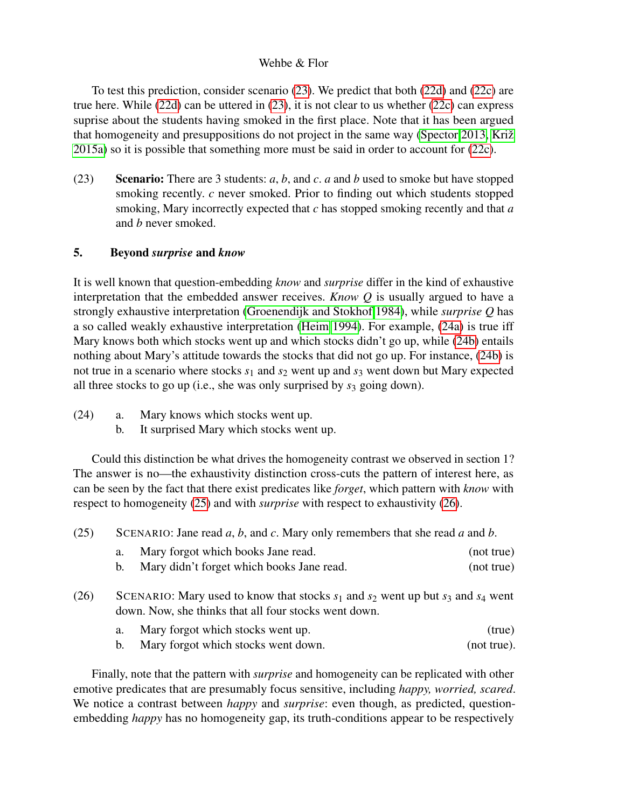To test this prediction, consider scenario [\(23\)](#page-7-0). We predict that both [\(22d\)](#page-6-5) and [\(22c\)](#page-6-4) are true here. While [\(22d\)](#page-6-5) can be uttered in [\(23\)](#page-7-0), it is not clear to us whether [\(22c\)](#page-6-4) can express suprise about the students having smoked in the first place. Note that it has been argued that homogeneity and presuppositions do not project in the same way [\(Spector 2013,](#page-9-11) Križ [2015a\)](#page-9-2) so it is possible that something more must be said in order to account for [\(22c\)](#page-6-4).

<span id="page-7-0"></span>(23) Scenario: There are 3 students: *a*, *b*, and *c*. *a* and *b* used to smoke but have stopped smoking recently. *c* never smoked. Prior to finding out which students stopped smoking, Mary incorrectly expected that *c* has stopped smoking recently and that *a* and *b* never smoked.

# 5. Beyond *surprise* and *know*

It is well known that question-embedding *know* and *surprise* differ in the kind of exhaustive interpretation that the embedded answer receives. *Know Q* is usually argued to have a strongly exhaustive interpretation [\(Groenendijk and Stokhof 1984\)](#page-9-12), while *surprise Q* has a so called weakly exhaustive interpretation [\(Heim 1994\)](#page-9-13). For example, [\(24a\)](#page-7-1) is true iff Mary knows both which stocks went up and which stocks didn't go up, while [\(24b\)](#page-7-2) entails nothing about Mary's attitude towards the stocks that did not go up. For instance, [\(24b\)](#page-7-2) is not true in a scenario where stocks  $s_1$  and  $s_2$  went up and  $s_3$  went down but Mary expected all three stocks to go up (i.e., she was only surprised by *s*<sup>3</sup> going down).

- <span id="page-7-2"></span><span id="page-7-1"></span>(24) a. Mary knows which stocks went up.
	- b. It surprised Mary which stocks went up.

Could this distinction be what drives the homogeneity contrast we observed in section 1? The answer is no—the exhaustivity distinction cross-cuts the pattern of interest here, as can be seen by the fact that there exist predicates like *forget*, which pattern with *know* with respect to homogeneity [\(25\)](#page-7-3) and with *surprise* with respect to exhaustivity [\(26\)](#page-7-4).

- <span id="page-7-3"></span>(25) SCENARIO: Jane read *a*, *b*, and *c*. Mary only remembers that she read *a* and *b*.
	- a. Mary forgot which books Jane read. (not true) b. Mary didn't forget which books Jane read. (not true)
- <span id="page-7-4"></span>(26) SCENARIO: Mary used to know that stocks  $s_1$  and  $s_2$  went up but  $s_3$  and  $s_4$  went
	- down. Now, she thinks that all four stocks went down.
		- a. Mary forgot which stocks went up. (true)
		- b. Mary forgot which stocks went down. (not true).

Finally, note that the pattern with *surprise* and homogeneity can be replicated with other emotive predicates that are presumably focus sensitive, including *happy, worried, scared*. We notice a contrast between *happy* and *surprise*: even though, as predicted, questionembedding *happy* has no homogeneity gap, its truth-conditions appear to be respectively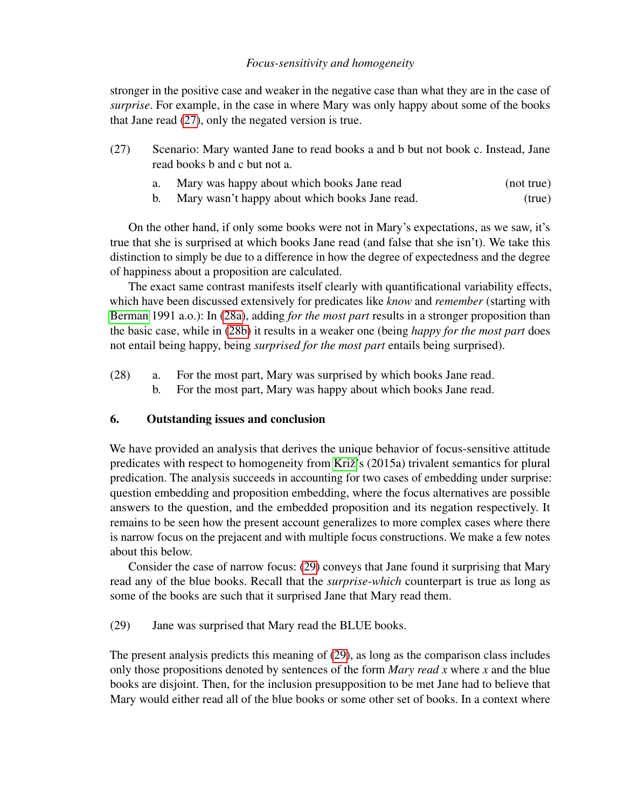stronger in the positive case and weaker in the negative case than what they are in the case of *surprise*. For example, in the case in where Mary was only happy about some of the books that Jane read [\(27\)](#page-8-0), only the negated version is true.

- <span id="page-8-0"></span>(27) Scenario: Mary wanted Jane to read books a and b but not book c. Instead, Jane read books b and c but not a.
	- a. Mary was happy about which books Jane read (not true)
	- b. Mary wasn't happy about which books Jane read. (true)

On the other hand, if only some books were not in Mary's expectations, as we saw, it's true that she is surprised at which books Jane read (and false that she isn't). We take this distinction to simply be due to a difference in how the degree of expectedness and the degree of happiness about a proposition are calculated.

The exact same contrast manifests itself clearly with quantificational variability effects, which have been discussed extensively for predicates like *know* and *remember* (starting with [Berman](#page-9-14) 1991 a.o.): In [\(28a\)](#page-8-1), adding *for the most part* results in a stronger proposition than the basic case, while in [\(28b\)](#page-8-2) it results in a weaker one (being *happy for the most part* does not entail being happy, being *surprised for the most part* entails being surprised).

- <span id="page-8-2"></span><span id="page-8-1"></span>(28) a. For the most part, Mary was surprised by which books Jane read.
	- b. For the most part, Mary was happy about which books Jane read.

## 6. Outstanding issues and conclusion

We have provided an analysis that derives the unique behavior of focus-sensitive attitude predicates with respect to homogeneity from Križ's (2015a) trivalent semantics for plural predication. The analysis succeeds in accounting for two cases of embedding under surprise: question embedding and proposition embedding, where the focus alternatives are possible answers to the question, and the embedded proposition and its negation respectively. It remains to be seen how the present account generalizes to more complex cases where there is narrow focus on the prejacent and with multiple focus constructions. We make a few notes about this below.

Consider the case of narrow focus: [\(29\)](#page-8-3) conveys that Jane found it surprising that Mary read any of the blue books. Recall that the *surprise-which* counterpart is true as long as some of the books are such that it surprised Jane that Mary read them.

<span id="page-8-3"></span>(29) Jane was surprised that Mary read the BLUE books.

The present analysis predicts this meaning of [\(29\)](#page-8-3), as long as the comparison class includes only those propositions denoted by sentences of the form *Mary read x* where *x* and the blue books are disjoint. Then, for the inclusion presupposition to be met Jane had to believe that Mary would either read all of the blue books or some other set of books. In a context where